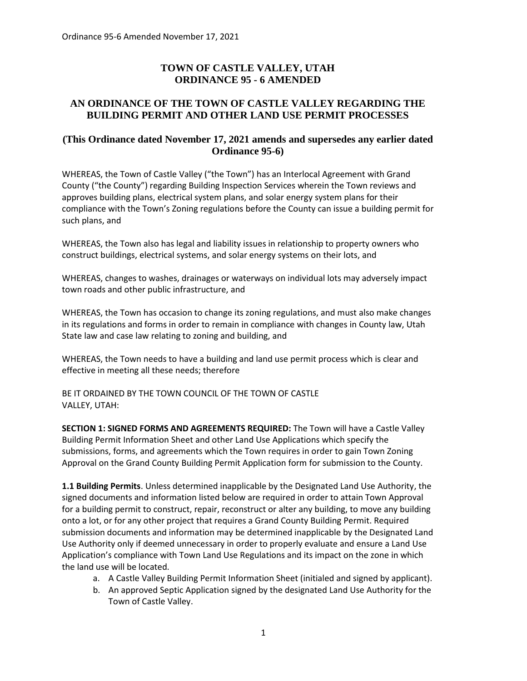# **TOWN OF CASTLE VALLEY, UTAH ORDINANCE 95 - 6 AMENDED**

## **AN ORDINANCE OF THE TOWN OF CASTLE VALLEY REGARDING THE BUILDING PERMIT AND OTHER LAND USE PERMIT PROCESSES**

## **(This Ordinance dated November 17, 2021 amends and supersedes any earlier dated Ordinance 95-6)**

WHEREAS, the Town of Castle Valley ("the Town") has an Interlocal Agreement with Grand County ("the County") regarding Building Inspection Services wherein the Town reviews and approves building plans, electrical system plans, and solar energy system plans for their compliance with the Town's Zoning regulations before the County can issue a building permit for such plans, and

WHEREAS, the Town also has legal and liability issues in relationship to property owners who construct buildings, electrical systems, and solar energy systems on their lots, and

WHEREAS, changes to washes, drainages or waterways on individual lots may adversely impact town roads and other public infrastructure, and

WHEREAS, the Town has occasion to change its zoning regulations, and must also make changes in its regulations and forms in order to remain in compliance with changes in County law, Utah State law and case law relating to zoning and building, and

WHEREAS, the Town needs to have a building and land use permit process which is clear and effective in meeting all these needs; therefore

BE IT ORDAINED BY THE TOWN COUNCIL OF THE TOWN OF CASTLE VALLEY, UTAH:

**SECTION 1: SIGNED FORMS AND AGREEMENTS REQUIRED:** The Town will have a Castle Valley Building Permit Information Sheet and other Land Use Applications which specify the submissions, forms, and agreements which the Town requires in order to gain Town Zoning Approval on the Grand County Building Permit Application form for submission to the County.

**1.1 Building Permits**. Unless determined inapplicable by the Designated Land Use Authority, the signed documents and information listed below are required in order to attain Town Approval for a building permit to construct, repair, reconstruct or alter any building, to move any building onto a lot, or for any other project that requires a Grand County Building Permit. Required submission documents and information may be determined inapplicable by the Designated Land Use Authority only if deemed unnecessary in order to properly evaluate and ensure a Land Use Application's compliance with Town Land Use Regulations and its impact on the zone in which the land use will be located.

- a. A Castle Valley Building Permit Information Sheet (initialed and signed by applicant).
- b. An approved Septic Application signed by the designated Land Use Authority for the Town of Castle Valley.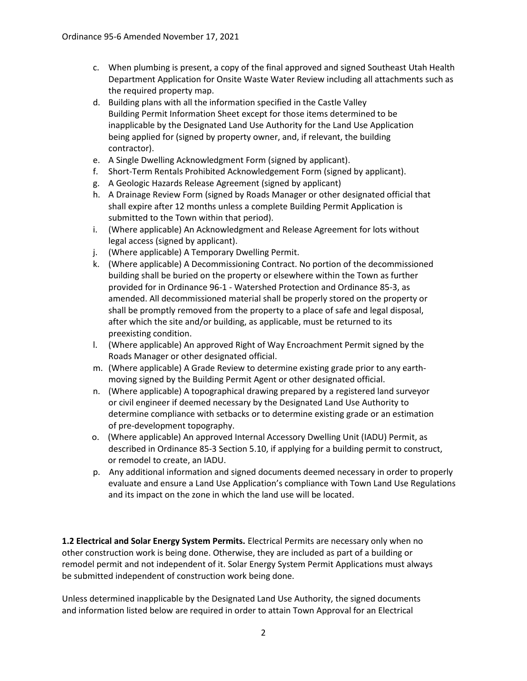- c. When plumbing is present, a copy of the final approved and signed Southeast Utah Health Department Application for Onsite Waste Water Review including all attachments such as the required property map.
- d. Building plans with all the information specified in the Castle Valley Building Permit Information Sheet except for those items determined to be inapplicable by the Designated Land Use Authority for the Land Use Application being applied for (signed by property owner, and, if relevant, the building contractor).
- e. A Single Dwelling Acknowledgment Form (signed by applicant).
- f. Short-Term Rentals Prohibited Acknowledgement Form (signed by applicant).
- g. A Geologic Hazards Release Agreement (signed by applicant)
- h. A Drainage Review Form (signed by Roads Manager or other designated official that shall expire after 12 months unless a complete Building Permit Application is submitted to the Town within that period).
- i. (Where applicable) An Acknowledgment and Release Agreement for lots without legal access (signed by applicant).
- j. (Where applicable) A Temporary Dwelling Permit.
- k. (Where applicable) A Decommissioning Contract. No portion of the decommissioned building shall be buried on the property or elsewhere within the Town as further provided for in Ordinance 96-1 - Watershed Protection and Ordinance 85-3, as amended. All decommissioned material shall be properly stored on the property or shall be promptly removed from the property to a place of safe and legal disposal, after which the site and/or building, as applicable, must be returned to its preexisting condition.
- l. (Where applicable) An approved Right of Way Encroachment Permit signed by the Roads Manager or other designated official.
- m. (Where applicable) A Grade Review to determine existing grade prior to any earthmoving signed by the Building Permit Agent or other designated official.
- n. (Where applicable) A topographical drawing prepared by a registered land surveyor or civil engineer if deemed necessary by the Designated Land Use Authority to determine compliance with setbacks or to determine existing grade or an estimation of pre-development topography.
- o. (Where applicable) An approved Internal Accessory Dwelling Unit (IADU) Permit, as described in Ordinance 85-3 Section 5.10, if applying for a building permit to construct, or remodel to create, an IADU.
- p. Any additional information and signed documents deemed necessary in order to properly evaluate and ensure a Land Use Application's compliance with Town Land Use Regulations and its impact on the zone in which the land use will be located.

**1.2 Electrical and Solar Energy System Permits.** Electrical Permits are necessary only when no other construction work is being done. Otherwise, they are included as part of a building or remodel permit and not independent of it. Solar Energy System Permit Applications must always be submitted independent of construction work being done.

Unless determined inapplicable by the Designated Land Use Authority, the signed documents and information listed below are required in order to attain Town Approval for an Electrical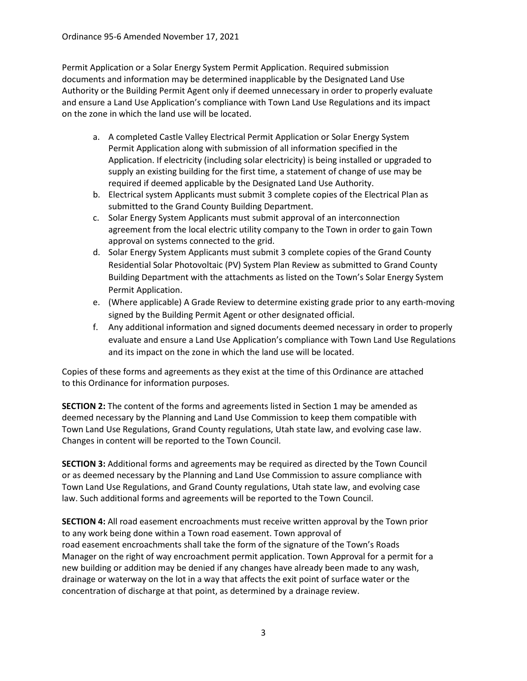Permit Application or a Solar Energy System Permit Application. Required submission documents and information may be determined inapplicable by the Designated Land Use Authority or the Building Permit Agent only if deemed unnecessary in order to properly evaluate and ensure a Land Use Application's compliance with Town Land Use Regulations and its impact on the zone in which the land use will be located.

- a. A completed Castle Valley Electrical Permit Application or Solar Energy System Permit Application along with submission of all information specified in the Application. If electricity (including solar electricity) is being installed or upgraded to supply an existing building for the first time, a statement of change of use may be required if deemed applicable by the Designated Land Use Authority.
- b. Electrical system Applicants must submit 3 complete copies of the Electrical Plan as submitted to the Grand County Building Department.
- c. Solar Energy System Applicants must submit approval of an interconnection agreement from the local electric utility company to the Town in order to gain Town approval on systems connected to the grid.
- d. Solar Energy System Applicants must submit 3 complete copies of the Grand County Residential Solar Photovoltaic (PV) System Plan Review as submitted to Grand County Building Department with the attachments as listed on the Town's Solar Energy System Permit Application.
- e. (Where applicable) A Grade Review to determine existing grade prior to any earth-moving signed by the Building Permit Agent or other designated official.
- f. Any additional information and signed documents deemed necessary in order to properly evaluate and ensure a Land Use Application's compliance with Town Land Use Regulations and its impact on the zone in which the land use will be located.

Copies of these forms and agreements as they exist at the time of this Ordinance are attached to this Ordinance for information purposes.

**SECTION 2:** The content of the forms and agreements listed in Section 1 may be amended as deemed necessary by the Planning and Land Use Commission to keep them compatible with Town Land Use Regulations, Grand County regulations, Utah state law, and evolving case law. Changes in content will be reported to the Town Council.

**SECTION 3:** Additional forms and agreements may be required as directed by the Town Council or as deemed necessary by the Planning and Land Use Commission to assure compliance with Town Land Use Regulations, and Grand County regulations, Utah state law, and evolving case law. Such additional forms and agreements will be reported to the Town Council.

**SECTION 4:** All road easement encroachments must receive written approval by the Town prior to any work being done within a Town road easement. Town approval of road easement encroachments shall take the form of the signature of the Town's Roads Manager on the right of way encroachment permit application. Town Approval for a permit for a new building or addition may be denied if any changes have already been made to any wash, drainage or waterway on the lot in a way that affects the exit point of surface water or the concentration of discharge at that point, as determined by a drainage review.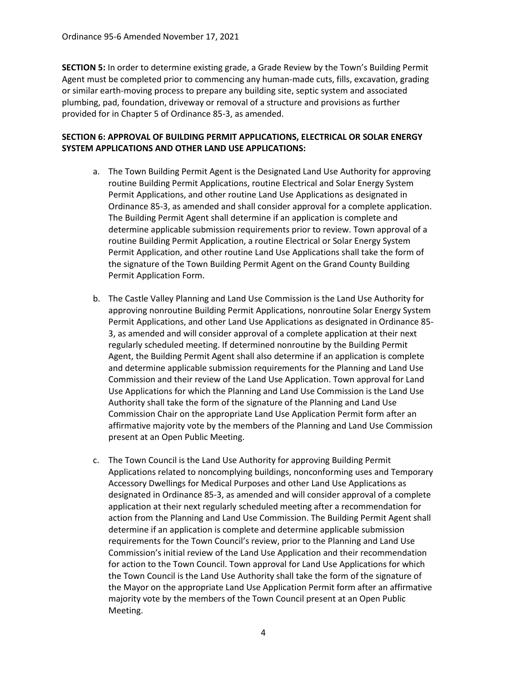**SECTION 5:** In order to determine existing grade, a Grade Review by the Town's Building Permit Agent must be completed prior to commencing any human-made cuts, fills, excavation, grading or similar earth-moving process to prepare any building site, septic system and associated plumbing, pad, foundation, driveway or removal of a structure and provisions as further provided for in Chapter 5 of Ordinance 85-3, as amended.

### **SECTION 6: APPROVAL OF BUILDING PERMIT APPLICATIONS, ELECTRICAL OR SOLAR ENERGY SYSTEM APPLICATIONS AND OTHER LAND USE APPLICATIONS:**

- a. The Town Building Permit Agent is the Designated Land Use Authority for approving routine Building Permit Applications, routine Electrical and Solar Energy System Permit Applications, and other routine Land Use Applications as designated in Ordinance 85-3, as amended and shall consider approval for a complete application. The Building Permit Agent shall determine if an application is complete and determine applicable submission requirements prior to review. Town approval of a routine Building Permit Application, a routine Electrical or Solar Energy System Permit Application, and other routine Land Use Applications shall take the form of the signature of the Town Building Permit Agent on the Grand County Building Permit Application Form.
- b. The Castle Valley Planning and Land Use Commission is the Land Use Authority for approving nonroutine Building Permit Applications, nonroutine Solar Energy System Permit Applications, and other Land Use Applications as designated in Ordinance 85- 3, as amended and will consider approval of a complete application at their next regularly scheduled meeting. If determined nonroutine by the Building Permit Agent, the Building Permit Agent shall also determine if an application is complete and determine applicable submission requirements for the Planning and Land Use Commission and their review of the Land Use Application. Town approval for Land Use Applications for which the Planning and Land Use Commission is the Land Use Authority shall take the form of the signature of the Planning and Land Use Commission Chair on the appropriate Land Use Application Permit form after an affirmative majority vote by the members of the Planning and Land Use Commission present at an Open Public Meeting.
- c. The Town Council is the Land Use Authority for approving Building Permit Applications related to noncomplying buildings, nonconforming uses and Temporary Accessory Dwellings for Medical Purposes and other Land Use Applications as designated in Ordinance 85-3, as amended and will consider approval of a complete application at their next regularly scheduled meeting after a recommendation for action from the Planning and Land Use Commission. The Building Permit Agent shall determine if an application is complete and determine applicable submission requirements for the Town Council's review, prior to the Planning and Land Use Commission's initial review of the Land Use Application and their recommendation for action to the Town Council. Town approval for Land Use Applications for which the Town Council is the Land Use Authority shall take the form of the signature of the Mayor on the appropriate Land Use Application Permit form after an affirmative majority vote by the members of the Town Council present at an Open Public Meeting.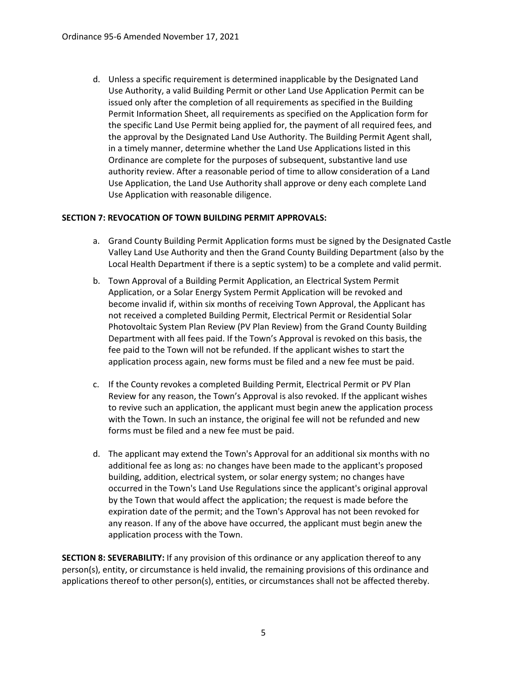d. Unless a specific requirement is determined inapplicable by the Designated Land Use Authority, a valid Building Permit or other Land Use Application Permit can be issued only after the completion of all requirements as specified in the Building Permit Information Sheet, all requirements as specified on the Application form for the specific Land Use Permit being applied for, the payment of all required fees, and the approval by the Designated Land Use Authority. The Building Permit Agent shall, in a timely manner, determine whether the Land Use Applications listed in this Ordinance are complete for the purposes of subsequent, substantive land use authority review. After a reasonable period of time to allow consideration of a Land Use Application, the Land Use Authority shall approve or deny each complete Land Use Application with reasonable diligence.

### **SECTION 7: REVOCATION OF TOWN BUILDING PERMIT APPROVALS:**

- a. Grand County Building Permit Application forms must be signed by the Designated Castle Valley Land Use Authority and then the Grand County Building Department (also by the Local Health Department if there is a septic system) to be a complete and valid permit.
- b. Town Approval of a Building Permit Application, an Electrical System Permit Application, or a Solar Energy System Permit Application will be revoked and become invalid if, within six months of receiving Town Approval, the Applicant has not received a completed Building Permit, Electrical Permit or Residential Solar Photovoltaic System Plan Review (PV Plan Review) from the Grand County Building Department with all fees paid. If the Town's Approval is revoked on this basis, the fee paid to the Town will not be refunded. If the applicant wishes to start the application process again, new forms must be filed and a new fee must be paid.
- c. If the County revokes a completed Building Permit, Electrical Permit or PV Plan Review for any reason, the Town's Approval is also revoked. If the applicant wishes to revive such an application, the applicant must begin anew the application process with the Town. In such an instance, the original fee will not be refunded and new forms must be filed and a new fee must be paid.
- d. The applicant may extend the Town's Approval for an additional six months with no additional fee as long as: no changes have been made to the applicant's proposed building, addition, electrical system, or solar energy system; no changes have occurred in the Town's Land Use Regulations since the applicant's original approval by the Town that would affect the application; the request is made before the expiration date of the permit; and the Town's Approval has not been revoked for any reason. If any of the above have occurred, the applicant must begin anew the application process with the Town.

**SECTION 8: SEVERABILITY:** If any provision of this ordinance or any application thereof to any person(s), entity, or circumstance is held invalid, the remaining provisions of this ordinance and applications thereof to other person(s), entities, or circumstances shall not be affected thereby.